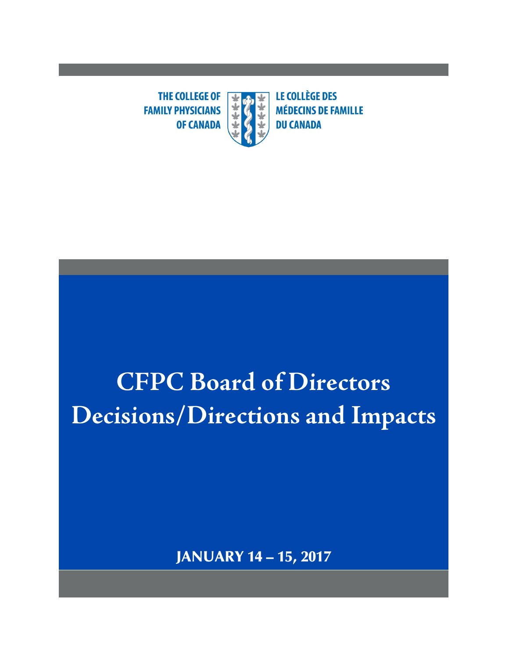**THE COLLEGE OF FAMILY PHYSICIANS OF CANADA** 



# **CFPC Board of Directors Decisions/Directions and Impacts**

JANUARY 14 – 15, 2017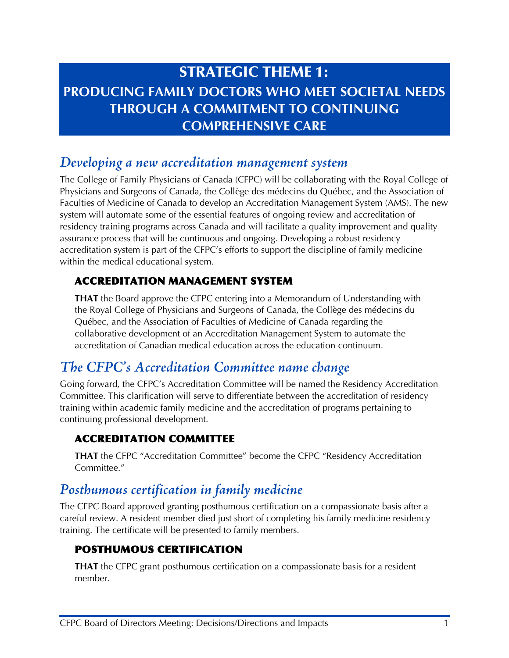# STRATEGIC THEME 1: **PRODUCING FAMILY DOCTORS WHO MEET SOCIETAL NEEDS THROUGH A COMMITMENT TO CONTINUING COMPREHENSIVE CARE**

### *Developing a new accreditation management system*

The College of Family Physicians of Canada (CFPC) will be collaborating with the Royal College of Physicians and Surgeons of Canada, the Collège des médecins du Québec, and the Association of Faculties of Medicine of Canada to develop an Accreditation Management System (AMS). The new system will automate some of the essential features of ongoing review and accreditation of residency training programs across Canada and will facilitate a quality improvement and quality assurance process that will be continuous and ongoing. Developing a robust residency accreditation system is part of the CFPC's efforts to support the discipline of family medicine within the medical educational system.

#### ACCREDITATION MANAGEMENT SYSTEM

**THAT** the Board approve the CFPC entering into a Memorandum of Understanding with the Royal College of Physicians and Surgeons of Canada, the Collège des médecins du Québec, and the Association of Faculties of Medicine of Canada regarding the collaborative development of an Accreditation Management System to automate the accreditation of Canadian medical education across the education continuum.

## *The CFPC's Accreditation Committee name change*

Going forward, the CFPC's Accreditation Committee will be named the Residency Accreditation Committee. This clarification will serve to differentiate between the accreditation of residency training within academic family medicine and the accreditation of programs pertaining to continuing professional development.

#### ACCREDITATION COMMITTEE

**THAT** the CFPC "Accreditation Committee" become the CFPC "Residency Accreditation Committee."

## *Posthumous certification in family medicine*

The CFPC Board approved granting posthumous certification on a compassionate basis after a careful review. A resident member died just short of completing his family medicine residency training. The certificate will be presented to family members.

#### POSTHUMOUS CERTIFICATION

**THAT** the CFPC grant posthumous certification on a compassionate basis for a resident member.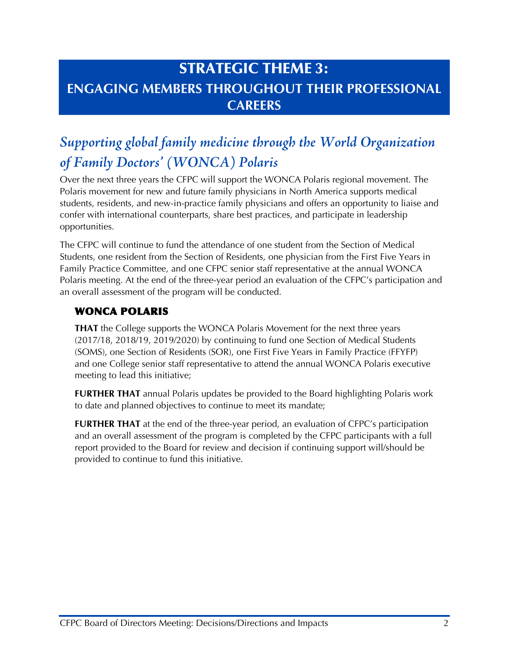# STRATEGIC THEME 3: **ENGAGING MEMBERS THROUGHOUT THEIR PROFESSIONAL CAREERS**

# *Supporting global family medicine through the World Organization of Family Doctors' (WONCA) Polaris*

Over the next three years the CFPC will support the WONCA Polaris regional movement. The Polaris movement for new and future family physicians in North America supports medical students, residents, and new-in-practice family physicians and offers an opportunity to liaise and confer with international counterparts, share best practices, and participate in leadership opportunities.

The CFPC will continue to fund the attendance of one student from the Section of Medical Students, one resident from the Section of Residents, one physician from the First Five Years in Family Practice Committee, and one CFPC senior staff representative at the annual WONCA Polaris meeting. At the end of the three-year period an evaluation of the CFPC's participation and an overall assessment of the program will be conducted.

#### WONCA POLARIS

**THAT** the College supports the WONCA Polaris Movement for the next three years (2017/18, 2018/19, 2019/2020) by continuing to fund one Section of Medical Students (SOMS), one Section of Residents (SOR), one First Five Years in Family Practice (FFYFP) and one College senior staff representative to attend the annual WONCA Polaris executive meeting to lead this initiative;

**FURTHER THAT** annual Polaris updates be provided to the Board highlighting Polaris work to date and planned objectives to continue to meet its mandate;

**FURTHER THAT** at the end of the three-year period, an evaluation of CFPC's participation and an overall assessment of the program is completed by the CFPC participants with a full report provided to the Board for review and decision if continuing support will/should be provided to continue to fund this initiative.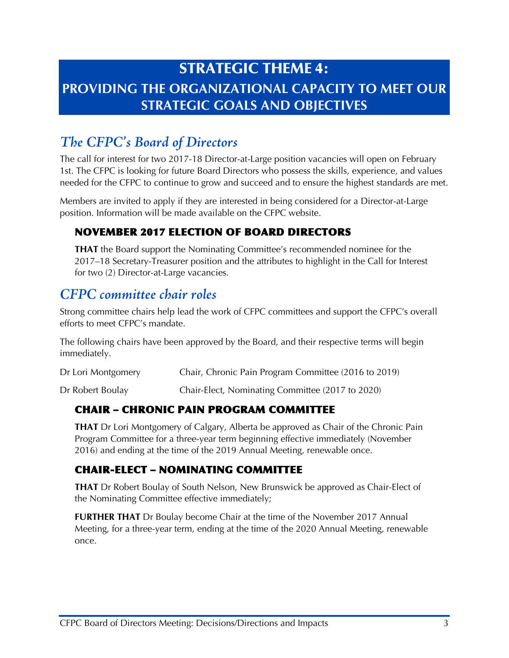# STRATEGIC THEME 4: **PROVIDING THE ORGANIZATIONAL CAPACITY TO MEET OUR STRATEGIC GOALS AND OBJECTIVES**

# *The CFPC's Board of Directors*

The call for interest for two 2017-18 Director-at-Large position vacancies will open on February 1st. The CFPC is looking for future Board Directors who possess the skills, experience, and values needed for the CFPC to continue to grow and succeed and to ensure the highest standards are met.

Members are invited to apply if they are interested in being considered for a Director-at-Large position. Information will be made available on the CFPC website.

#### NOVEMBER 2017 ELECTION OF BOARD DIRECTORS

**THAT** the Board support the Nominating Committee's recommended nominee for the 2017–18 Secretary-Treasurer position and the attributes to highlight in the Call for Interest for two (2) Director-at-Large vacancies.

## *CFPC committee chair roles*

Strong committee chairs help lead the work of CFPC committees and support the CFPC's overall efforts to meet CFPC's mandate.

The following chairs have been approved by the Board, and their respective terms will begin immediately.

| Dr Lori Montgomery | Chair, Chronic Pain Program Committee (2016 to 2019) |
|--------------------|------------------------------------------------------|
|                    |                                                      |

Dr Robert Boulay Chair-Elect, Nominating Committee (2017 to 2020)

#### CHAIR – CHRONIC PAIN PROGRAM COMMITTEE

**THAT** Dr Lori Montgomery of Calgary, Alberta be approved as Chair of the Chronic Pain Program Committee for a three-year term beginning effective immediately (November 2016) and ending at the time of the 2019 Annual Meeting, renewable once.

#### CHAIR-ELECT – NOMINATING COMMITTEE

**THAT** Dr Robert Boulay of South Nelson, New Brunswick be approved as Chair-Elect of the Nominating Committee effective immediately;

**FURTHER THAT** Dr Boulay become Chair at the time of the November 2017 Annual Meeting, for a three-year term, ending at the time of the 2020 Annual Meeting, renewable once.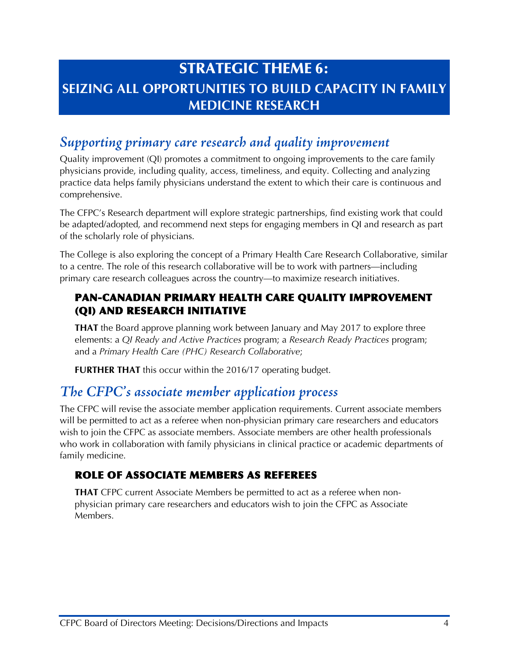# STRATEGIC THEME 6: **SEIZING ALL OPPORTUNITIES TO BUILD CAPACITY IN FAMILY MEDICINE RESEARCH**

## *Supporting primary care research and quality improvement*

Quality improvement (QI) promotes a commitment to ongoing improvements to the care family physicians provide, including quality, access, timeliness, and equity. Collecting and analyzing practice data helps family physicians understand the extent to which their care is continuous and comprehensive.

The CFPC's Research department will explore strategic partnerships, find existing work that could be adapted/adopted, and recommend next steps for engaging members in QI and research as part of the scholarly role of physicians.

The College is also exploring the concept of a Primary Health Care Research Collaborative, similar to a centre. The role of this research collaborative will be to work with partners—including primary care research colleagues across the country—to maximize research initiatives.

#### PAN-CANADIAN PRIMARY HEALTH CARE QUALITY IMPROVEMENT (QI) AND RESEARCH INITIATIVE

**THAT** the Board approve planning work between January and May 2017 to explore three elements: a *QI Ready and Active Practices* program; a *Research Ready Practices* program; and a *Primary Health Care (PHC) Research Collaborative*;

**FURTHER THAT** this occur within the 2016/17 operating budget.

## *The CFPC's associate member application process*

The CFPC will revise the associate member application requirements. Current associate members will be permitted to act as a referee when non-physician primary care researchers and educators wish to join the CFPC as associate members. Associate members are other health professionals who work in collaboration with family physicians in clinical practice or academic departments of family medicine.

#### ROLE OF ASSOCIATE MEMBERS AS REFEREES

**THAT** CFPC current Associate Members be permitted to act as a referee when nonphysician primary care researchers and educators wish to join the CFPC as Associate Members.